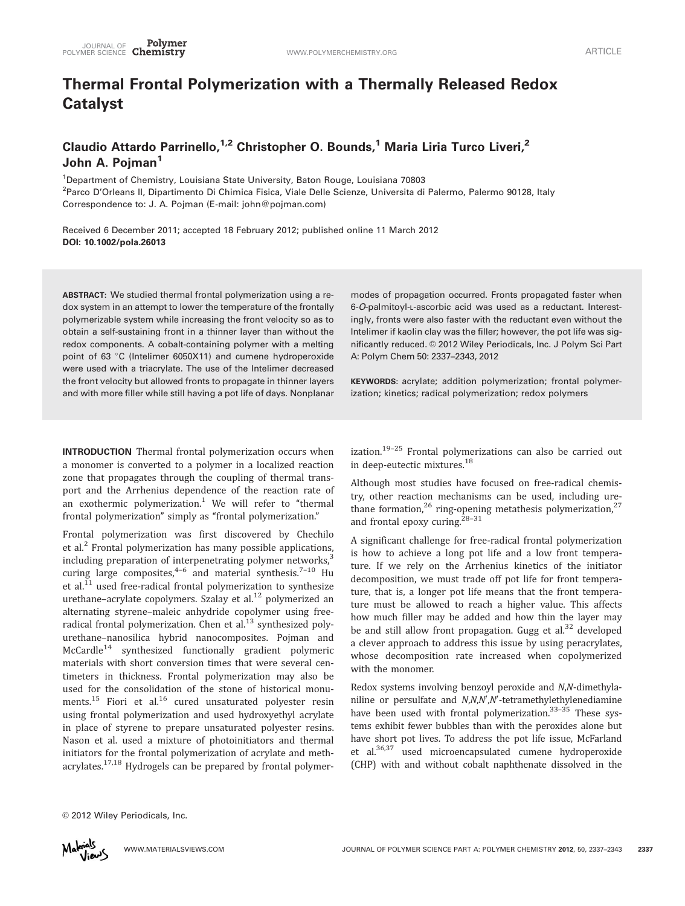# Thermal Frontal Polymerization with a Thermally Released Redox Catalyst

# Claudio Attardo Parrinello,  $1/2$  Christopher O. Bounds,<sup>1</sup> Maria Liria Turco Liveri, <sup>2</sup> John A. Poiman<sup>1</sup>

<sup>1</sup>Department of Chemistry, Louisiana State University, Baton Rouge, Louisiana 70803 <sup>2</sup>Parco D'Orleans II, Dipartimento Di Chimica Fisica, Viale Delle Scienze, Universita di Palermo, Palermo 90128, Italy Correspondence to: J. A. Pojman (E-mail: john@pojman.com)

Received 6 December 2011; accepted 18 February 2012; published online 11 March 2012 DOI: 10.1002/pola.26013

ABSTRACT: We studied thermal frontal polymerization using a redox system in an attempt to lower the temperature of the frontally polymerizable system while increasing the front velocity so as to obtain a self-sustaining front in a thinner layer than without the redox components. A cobalt-containing polymer with a melting point of 63 $\degree$ C (Intelimer 6050X11) and cumene hydroperoxide were used with a triacrylate. The use of the Intelimer decreased the front velocity but allowed fronts to propagate in thinner layers and with more filler while still having a pot life of days. Nonplanar

modes of propagation occurred. Fronts propagated faster when 6-O-palmitoyl-L-ascorbic acid was used as a reductant. Interestingly, fronts were also faster with the reductant even without the Intelimer if kaolin clay was the filler; however, the pot life was significantly reduced. © 2012 Wiley Periodicals, Inc. J Polym Sci Part A: Polym Chem 50: 2337–2343, 2012

KEYWORDS: acrylate; addition polymerization; frontal polymerization; kinetics; radical polymerization; redox polymers

INTRODUCTION Thermal frontal polymerization occurs when a monomer is converted to a polymer in a localized reaction zone that propagates through the coupling of thermal transport and the Arrhenius dependence of the reaction rate of an exothermic polymerization.<sup>1</sup> We will refer to "thermal frontal polymerization" simply as "frontal polymerization."

Frontal polymerization was first discovered by Chechilo et al.<sup>2</sup> Frontal polymerization has many possible applications, including preparation of interpenetrating polymer networks,<sup>3</sup> curing large composites,  $4-6$  and material synthesis.<sup>7-10</sup> Hu et al. $^{11}$  used free-radical frontal polymerization to synthesize urethane-acrylate copolymers. Szalay et al.<sup>12</sup> polymerized an alternating styrene–maleic anhydride copolymer using freeradical frontal polymerization. Chen et al. $^{13}$  synthesized polyurethane–nanosilica hybrid nanocomposites. Pojman and McCardle<sup>14</sup> synthesized functionally gradient polymeric materials with short conversion times that were several centimeters in thickness. Frontal polymerization may also be used for the consolidation of the stone of historical monuments.<sup>15</sup> Fiori et al.<sup>16</sup> cured unsaturated polyester resin using frontal polymerization and used hydroxyethyl acrylate in place of styrene to prepare unsaturated polyester resins. Nason et al. used a mixture of photoinitiators and thermal initiators for the frontal polymerization of acrylate and methacrylates.<sup>17,18</sup> Hydrogels can be prepared by frontal polymerization. $19-25$  Frontal polymerizations can also be carried out in deep-eutectic mixtures.<sup>18</sup>

Although most studies have focused on free-radical chemistry, other reaction mechanisms can be used, including urethane formation,<sup>26</sup> ring-opening metathesis polymerization,<sup>27</sup> and frontal epoxy curing.<sup>28-31</sup>

A significant challenge for free-radical frontal polymerization is how to achieve a long pot life and a low front temperature. If we rely on the Arrhenius kinetics of the initiator decomposition, we must trade off pot life for front temperature, that is, a longer pot life means that the front temperature must be allowed to reach a higher value. This affects how much filler may be added and how thin the layer may be and still allow front propagation. Gugg et al.<sup>32</sup> developed a clever approach to address this issue by using peracrylates, whose decomposition rate increased when copolymerized with the monomer.

Redox systems involving benzoyl peroxide and N,N-dimethylaniline or persulfate and N,N,N',N'-tetramethylethylenediamine have been used with frontal polymerization.<sup>33-35</sup> These svstems exhibit fewer bubbles than with the peroxides alone but have short pot lives. To address the pot life issue, McFarland et al.36,37 used microencapsulated cumene hydroperoxide (CHP) with and without cobalt naphthenate dissolved in the

© 2012 Wiley Periodicals, Inc.

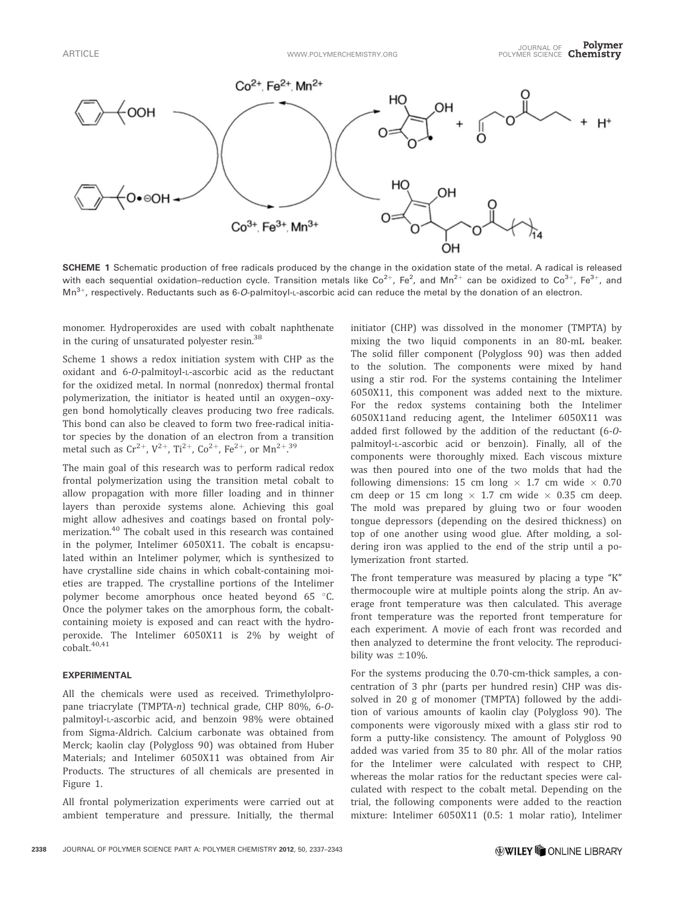

SCHEME 1 Schematic production of free radicals produced by the change in the oxidation state of the metal. A radical is released with each sequential oxidation–reduction cycle. Transition metals like Co<sup>2+</sup>, Fe<sup>2</sup>, and Mn<sup>2+</sup> can be oxidized to Co<sup>3+</sup>, Fe<sup>3+</sup>, and  $Mn^{3+}$ , respectively. Reductants such as 6-O-palmitoyl-L-ascorbic acid can reduce the metal by the donation of an electron.

monomer. Hydroperoxides are used with cobalt naphthenate in the curing of unsaturated polyester resin.38

Scheme 1 shows a redox initiation system with CHP as the oxidant and 6-O-palmitoyl-L-ascorbic acid as the reductant for the oxidized metal. In normal (nonredox) thermal frontal polymerization, the initiator is heated until an oxygen–oxygen bond homolytically cleaves producing two free radicals. This bond can also be cleaved to form two free-radical initiator species by the donation of an electron from a transition metal such as  $\mathrm{Cr^{2+}}$ ,  $\mathrm{V^{2+}}$ ,  $\mathrm{Ti^{2+}}$ ,  $\mathrm{Co^{2+}}$ ,  $\mathrm{Fe^{2+}}$ , or  $\mathrm{Mn^{2+}}$ .  $^{39}$ 

The main goal of this research was to perform radical redox frontal polymerization using the transition metal cobalt to allow propagation with more filler loading and in thinner layers than peroxide systems alone. Achieving this goal might allow adhesives and coatings based on frontal polymerization.<sup>40</sup> The cobalt used in this research was contained in the polymer, Intelimer 6050X11. The cobalt is encapsulated within an Intelimer polymer, which is synthesized to have crystalline side chains in which cobalt-containing moieties are trapped. The crystalline portions of the Intelimer polymer become amorphous once heated beyond 65 °C. Once the polymer takes on the amorphous form, the cobaltcontaining moiety is exposed and can react with the hydroperoxide. The Intelimer 6050X11 is 2% by weight of cobalt.<sup>40,41</sup>

## EXPERIMENTAL

All the chemicals were used as received. Trimethylolpropane triacrylate (TMPTA-n) technical grade, CHP 80%, 6-Opalmitoyl-L-ascorbic acid, and benzoin 98% were obtained from Sigma-Aldrich. Calcium carbonate was obtained from Merck; kaolin clay (Polygloss 90) was obtained from Huber Materials; and Intelimer 6050X11 was obtained from Air Products. The structures of all chemicals are presented in Figure 1.

All frontal polymerization experiments were carried out at ambient temperature and pressure. Initially, the thermal

initiator (CHP) was dissolved in the monomer (TMPTA) by mixing the two liquid components in an 80-mL beaker. The solid filler component (Polygloss 90) was then added to the solution. The components were mixed by hand using a stir rod. For the systems containing the Intelimer 6050X11, this component was added next to the mixture. For the redox systems containing both the Intelimer 6050X11and reducing agent, the Intelimer 6050X11 was added first followed by the addition of the reductant (6-Opalmitoyl-L-ascorbic acid or benzoin). Finally, all of the components were thoroughly mixed. Each viscous mixture was then poured into one of the two molds that had the following dimensions: 15 cm long  $\times$  1.7 cm wide  $\times$  0.70 cm deep or 15 cm long  $\times$  1.7 cm wide  $\times$  0.35 cm deep. The mold was prepared by gluing two or four wooden tongue depressors (depending on the desired thickness) on top of one another using wood glue. After molding, a soldering iron was applied to the end of the strip until a polymerization front started.

The front temperature was measured by placing a type "K" thermocouple wire at multiple points along the strip. An average front temperature was then calculated. This average front temperature was the reported front temperature for each experiment. A movie of each front was recorded and then analyzed to determine the front velocity. The reproducibility was  $\pm 10\%$ .

For the systems producing the 0.70-cm-thick samples, a concentration of 3 phr (parts per hundred resin) CHP was dissolved in 20 g of monomer (TMPTA) followed by the addition of various amounts of kaolin clay (Polygloss 90). The components were vigorously mixed with a glass stir rod to form a putty-like consistency. The amount of Polygloss 90 added was varied from 35 to 80 phr. All of the molar ratios for the Intelimer were calculated with respect to CHP, whereas the molar ratios for the reductant species were calculated with respect to the cobalt metal. Depending on the trial, the following components were added to the reaction mixture: Intelimer 6050X11 (0.5: 1 molar ratio), Intelimer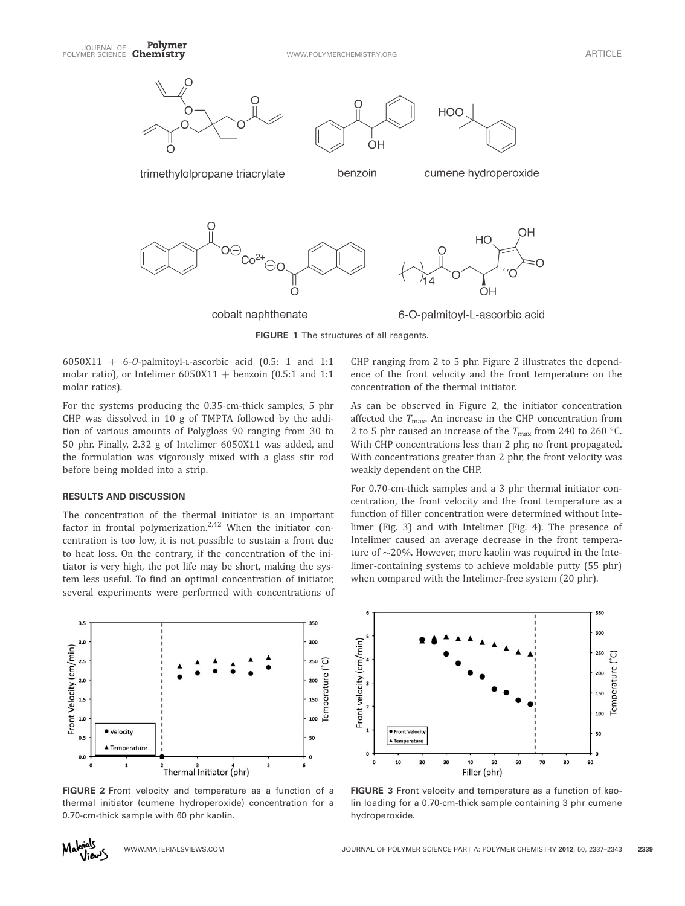

FIGURE 1 The structures of all reagents.

6050X11 + 6-O-palmitoyl-L-ascorbic acid  $(0.5: 1$  and 1:1 molar ratio), or Intelimer  $6050X11 + \text{benzoin}$  (0.5:1 and 1:1 molar ratios).

For the systems producing the 0.35-cm-thick samples, 5 phr CHP was dissolved in 10 g of TMPTA followed by the addition of various amounts of Polygloss 90 ranging from 30 to 50 phr. Finally, 2.32 g of Intelimer 6050X11 was added, and the formulation was vigorously mixed with a glass stir rod before being molded into a strip.

# RESULTS AND DISCUSSION

The concentration of the thermal initiator is an important factor in frontal polymerization. $2,42$  When the initiator concentration is too low, it is not possible to sustain a front due to heat loss. On the contrary, if the concentration of the initiator is very high, the pot life may be short, making the system less useful. To find an optimal concentration of initiator, several experiments were performed with concentrations of

 $3.5$ 350  $300$ Front Velocity (cm/min)  $2.5$ 250 Temperature  $2.0$  $1.5$ 150  $1.0$ 100 · Velocity  $0.5$ 50 ▲ Temperature  $0.0$  $\mathbf 0$  $\mathbf{1}$ 5 Thermal Initiator (phr)

FIGURE 2 Front velocity and temperature as a function of a thermal initiator (cumene hydroperoxide) concentration for a 0.70-cm-thick sample with 60 phr kaolin.

ence of the front velocity and the front temperature on the concentration of the thermal initiator. As can be observed in Figure 2, the initiator concentration

CHP ranging from 2 to 5 phr. Figure 2 illustrates the depend-

affected the  $T_{\text{max}}$ . An increase in the CHP concentration from 2 to 5 phr caused an increase of the  $T_{\text{max}}$  from 240 to 260 °C. With CHP concentrations less than 2 phr, no front propagated. With concentrations greater than 2 phr, the front velocity was weakly dependent on the CHP.

For 0.70-cm-thick samples and a 3 phr thermal initiator concentration, the front velocity and the front temperature as a function of filler concentration were determined without Intelimer (Fig. 3) and with Intelimer (Fig. 4). The presence of Intelimer caused an average decrease in the front temperature of  $\sim$ 20%. However, more kaolin was required in the Intelimer-containing systems to achieve moldable putty (55 phr) when compared with the Intelimer-free system (20 phr).



FIGURE 3 Front velocity and temperature as a function of kaolin loading for a 0.70-cm-thick sample containing 3 phr cumene hydroperoxide.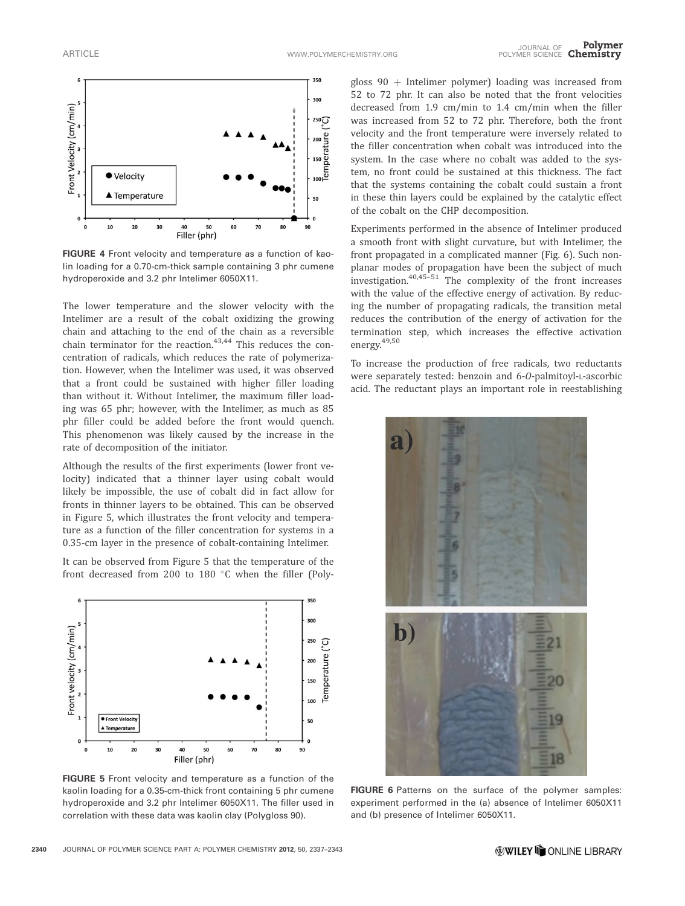

FIGURE 4 Front velocity and temperature as a function of kaolin loading for a 0.70-cm-thick sample containing 3 phr cumene hydroperoxide and 3.2 phr Intelimer 6050X11.

The lower temperature and the slower velocity with the Intelimer are a result of the cobalt oxidizing the growing chain and attaching to the end of the chain as a reversible chain terminator for the reaction. $43,44$  This reduces the concentration of radicals, which reduces the rate of polymerization. However, when the Intelimer was used, it was observed that a front could be sustained with higher filler loading than without it. Without Intelimer, the maximum filler loading was 65 phr; however, with the Intelimer, as much as 85 phr filler could be added before the front would quench. This phenomenon was likely caused by the increase in the rate of decomposition of the initiator.

Although the results of the first experiments (lower front velocity) indicated that a thinner layer using cobalt would likely be impossible, the use of cobalt did in fact allow for fronts in thinner layers to be obtained. This can be observed in Figure 5, which illustrates the front velocity and temperature as a function of the filler concentration for systems in a 0.35-cm layer in the presence of cobalt-containing Intelimer.

It can be observed from Figure 5 that the temperature of the front decreased from 200 to 180 °C when the filler (Poly-



FIGURE 5 Front velocity and temperature as a function of the kaolin loading for a 0.35-cm-thick front containing 5 phr cumene hydroperoxide and 3.2 phr Intelimer 6050X11. The filler used in correlation with these data was kaolin clay (Polygloss 90).

gloss  $90 +$  Intelimer polymer) loading was increased from 52 to 72 phr. It can also be noted that the front velocities decreased from 1.9 cm/min to 1.4 cm/min when the filler was increased from 52 to 72 phr. Therefore, both the front velocity and the front temperature were inversely related to the filler concentration when cobalt was introduced into the system. In the case where no cobalt was added to the system, no front could be sustained at this thickness. The fact that the systems containing the cobalt could sustain a front in these thin layers could be explained by the catalytic effect of the cobalt on the CHP decomposition.

Experiments performed in the absence of Intelimer produced a smooth front with slight curvature, but with Intelimer, the front propagated in a complicated manner (Fig. 6). Such nonplanar modes of propagation have been the subject of much investigation. $40,45-51$  The complexity of the front increases with the value of the effective energy of activation. By reducing the number of propagating radicals, the transition metal reduces the contribution of the energy of activation for the termination step, which increases the effective activation energy.<sup>49,50</sup>

To increase the production of free radicals, two reductants were separately tested: benzoin and 6-O-palmitoyl-L-ascorbic acid. The reductant plays an important role in reestablishing



FIGURE 6 Patterns on the surface of the polymer samples: experiment performed in the (a) absence of Intelimer 6050X11 and (b) presence of Intelimer 6050X11.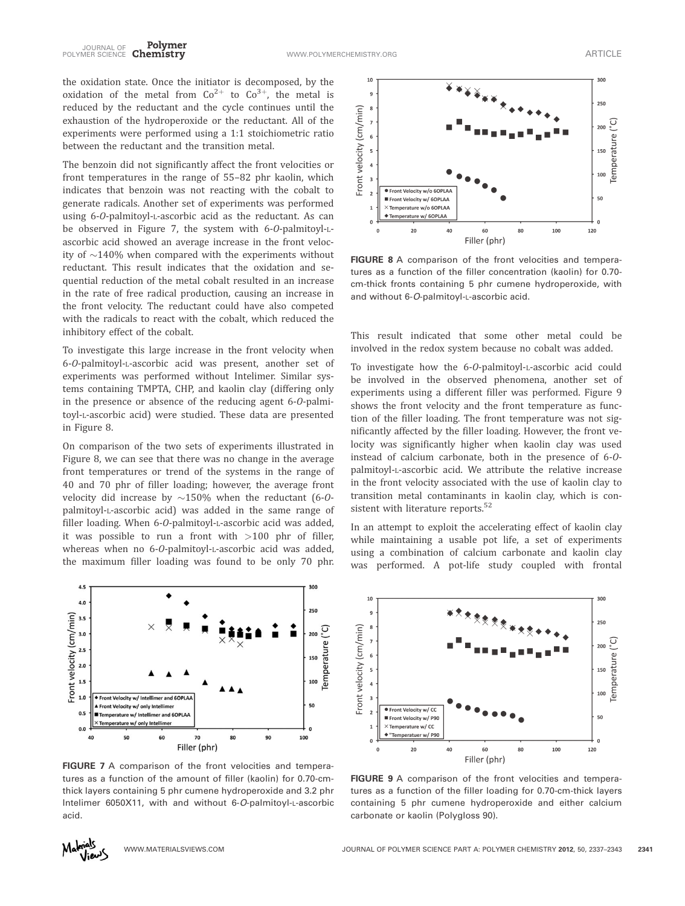the oxidation state. Once the initiator is decomposed, by the oxidation of the metal from  $Co^{2+}$  to  $Co^{3+}$ , the metal is reduced by the reductant and the cycle continues until the exhaustion of the hydroperoxide or the reductant. All of the experiments were performed using a 1:1 stoichiometric ratio between the reductant and the transition metal.

The benzoin did not significantly affect the front velocities or front temperatures in the range of 55–82 phr kaolin, which indicates that benzoin was not reacting with the cobalt to generate radicals. Another set of experiments was performed using 6-O-palmitoyl-L-ascorbic acid as the reductant. As can be observed in Figure 7, the system with 6-O-palmitoyl-Lascorbic acid showed an average increase in the front velocity of  $\sim$ 140% when compared with the experiments without reductant. This result indicates that the oxidation and sequential reduction of the metal cobalt resulted in an increase in the rate of free radical production, causing an increase in the front velocity. The reductant could have also competed with the radicals to react with the cobalt, which reduced the inhibitory effect of the cobalt.

To investigate this large increase in the front velocity when 6-O-palmitoyl-L-ascorbic acid was present, another set of experiments was performed without Intelimer. Similar systems containing TMPTA, CHP, and kaolin clay (differing only in the presence or absence of the reducing agent 6-O-palmitoyl-L-ascorbic acid) were studied. These data are presented in Figure 8.

On comparison of the two sets of experiments illustrated in Figure 8, we can see that there was no change in the average front temperatures or trend of the systems in the range of 40 and 70 phr of filler loading; however, the average front velocity did increase by  $\sim$ 150% when the reductant (6-0palmitoyl-L-ascorbic acid) was added in the same range of filler loading. When 6-O-palmitoyl-L-ascorbic acid was added, it was possible to run a front with  $>100$  phr of filler, whereas when no 6-O-palmitoyl-L-ascorbic acid was added, the maximum filler loading was found to be only 70 phr.



FIGURE 7 A comparison of the front velocities and temperatures as a function of the amount of filler (kaolin) for 0.70-cmthick layers containing 5 phr cumene hydroperoxide and 3.2 phr Intelimer 6050X11, with and without 6-O-palmitoyl-L-ascorbic acid.



FIGURE 8 A comparison of the front velocities and temperatures as a function of the filler concentration (kaolin) for 0.70 cm-thick fronts containing 5 phr cumene hydroperoxide, with and without 6-O-palmitoyl-L-ascorbic acid.

This result indicated that some other metal could be involved in the redox system because no cobalt was added.

To investigate how the 6-O-palmitoyl-L-ascorbic acid could be involved in the observed phenomena, another set of experiments using a different filler was performed. Figure 9 shows the front velocity and the front temperature as function of the filler loading. The front temperature was not significantly affected by the filler loading. However, the front velocity was significantly higher when kaolin clay was used instead of calcium carbonate, both in the presence of 6-Opalmitoyl-L-ascorbic acid. We attribute the relative increase in the front velocity associated with the use of kaolin clay to transition metal contaminants in kaolin clay, which is consistent with literature reports.<sup>52</sup>

In an attempt to exploit the accelerating effect of kaolin clay while maintaining a usable pot life, a set of experiments using a combination of calcium carbonate and kaolin clay was performed. A pot-life study coupled with frontal



FIGURE 9 A comparison of the front velocities and temperatures as a function of the filler loading for 0.70-cm-thick layers containing 5 phr cumene hydroperoxide and either calcium carbonate or kaolin (Polygloss 90).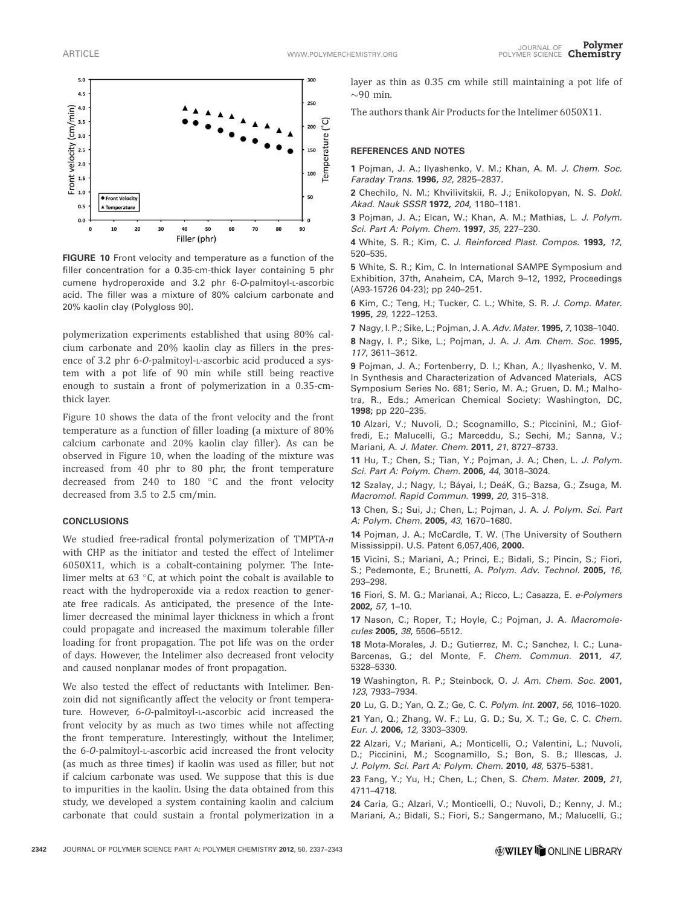

FIGURE 10 Front velocity and temperature as a function of the filler concentration for a 0.35-cm-thick layer containing 5 phr cumene hydroperoxide and 3.2 phr 6-O-palmitoyl-L-ascorbic acid. The filler was a mixture of 80% calcium carbonate and 20% kaolin clay (Polygloss 90).

polymerization experiments established that using 80% calcium carbonate and 20% kaolin clay as fillers in the presence of 3.2 phr 6-O-palmitoyl-L-ascorbic acid produced a system with a pot life of 90 min while still being reactive enough to sustain a front of polymerization in a 0.35-cmthick layer.

Figure 10 shows the data of the front velocity and the front temperature as a function of filler loading (a mixture of 80% calcium carbonate and 20% kaolin clay filler). As can be observed in Figure 10, when the loading of the mixture was increased from 40 phr to 80 phr, the front temperature decreased from 240 to 180  $^{\circ}$ C and the front velocity decreased from 3.5 to 2.5 cm/min.

## **CONCLUSIONS**

We studied free-radical frontal polymerization of TMPTA-n with CHP as the initiator and tested the effect of Intelimer 6050X11, which is a cobalt-containing polymer. The Intelimer melts at 63 $\degree$ C, at which point the cobalt is available to react with the hydroperoxide via a redox reaction to generate free radicals. As anticipated, the presence of the Intelimer decreased the minimal layer thickness in which a front could propagate and increased the maximum tolerable filler loading for front propagation. The pot life was on the order of days. However, the Intelimer also decreased front velocity and caused nonplanar modes of front propagation.

We also tested the effect of reductants with Intelimer. Benzoin did not significantly affect the velocity or front temperature. However, 6-O-palmitoyl-L-ascorbic acid increased the front velocity by as much as two times while not affecting the front temperature. Interestingly, without the Intelimer, the 6-O-palmitoyl-L-ascorbic acid increased the front velocity (as much as three times) if kaolin was used as filler, but not if calcium carbonate was used. We suppose that this is due to impurities in the kaolin. Using the data obtained from this study, we developed a system containing kaolin and calcium carbonate that could sustain a frontal polymerization in a layer as thin as 0.35 cm while still maintaining a pot life of  $\sim$ 90 min.

The authors thank Air Products for the Intelimer 6050X11.

### REFERENCES AND NOTES

1 Pojman, J. A.; Ilyashenko, V. M.; Khan, A. M. J. Chem. Soc. Faraday Trans. 1996, 92, 2825–2837.

2 Chechilo, N. M.; Khvilivitskii, R. J.; Enikolopyan, N. S. Dokl. Akad. Nauk SSSR 1972, 204, 1180–1181.

3 Pojman, J. A.; Elcan, W.; Khan, A. M.; Mathias, L. J. Polym. Sci. Part A: Polym. Chem. 1997, 35, 227-230.

4 White, S. R.; Kim, C. J. Reinforced Plast. Compos. 1993, 12, 520–535.

5 White, S. R.; Kim, C. In International SAMPE Symposium and Exhibition, 37th, Anaheim, CA, March 9–12, 1992, Proceedings (A93-15726 04-23); pp 240–251.

6 Kim, C.; Teng, H.; Tucker, C. L.; White, S. R. J. Comp. Mater. 1995, 29, 1222–1253.

7 Nagy, I. P.; Sike, L.; Pojman, J. A. Adv. Mater. 1995, 7, 1038–1040.

8 Nagy, I. P.; Sike, L.; Pojman, J. A. J. Am. Chem. Soc. 1995, 117, 3611–3612.

9 Pojman, J. A.; Fortenberry, D. I.; Khan, A.; Ilyashenko, V. M. In Synthesis and Characterization of Advanced Materials, ACS Symposium Series No. 681; Serio, M. A.; Gruen, D. M.; Malhotra, R., Eds.; American Chemical Society: Washington, DC, 1998; pp 220–235.

10 Alzari, V.; Nuvoli, D.; Scognamillo, S.; Piccinini, M.; Gioffredi, E.; Malucelli, G.; Marceddu, S.; Sechi, M.; Sanna, V.; Mariani, A. J. Mater. Chem. 2011, 21, 8727-8733.

11 Hu, T.; Chen, S.; Tian, Y.; Pojman, J. A.; Chen, L. J. Polym. Sci. Part A: Polym. Chem. 2006, 44, 3018-3024.

12 Szalay, J.; Nagy, I.; Báyai, I.; DeáK, G.; Bazsa, G.; Zsuga, M. Macromol. Rapid Commun. 1999, 20, 315–318.

13 Chen, S.; Sui, J.; Chen, L.; Pojman, J. A. J. Polym. Sci. Part A: Polym. Chem. 2005, 43, 1670–1680.

14 Pojman, J. A.; McCardle, T. W. (The University of Southern Mississippi). U.S. Patent 6,057,406, 2000.

15 Vicini, S.; Mariani, A.; Princi, E.; Bidali, S.; Pincin, S.; Fiori, S.; Pedemonte, E.; Brunetti, A. Polym. Adv. Technol. 2005, 16, 293–298.

16 Fiori, S. M. G.; Marianai, A.; Ricco, L.; Casazza, E. e-Polymers 2002, 57, 1–10.

17 Nason, C.; Roper, T.; Hoyle, C.; Pojman, J. A. Macromolecules 2005, 38, 5506–5512.

18 Mota-Morales, J. D.; Gutierrez, M. C.; Sanchez, I. C.; Luna-Barcenas, G.; del Monte, F. Chem. Commun. 2011, 47, 5328–5330.

19 Washington, R. P.; Steinbock, O. J. Am. Chem. Soc. 2001, 123, 7933–7934.

20 Lu, G. D.; Yan, Q. Z.; Ge, C. C. Polym. Int. 2007, 56, 1016–1020. 21 Yan, Q.; Zhang, W. F.; Lu, G. D.; Su, X. T.; Ge, C. C. Chem. Eur. J. 2006, 12, 3303–3309.

22 Alzari, V.; Mariani, A.; Monticelli, O.; Valentini, L.; Nuvoli, D.; Piccinini, M.; Scognamillo, S.; Bon, S. B.; Illescas, J. J. Polym. Sci. Part A: Polym. Chem. 2010, 48, 5375–5381.

23 Fang, Y.; Yu, H.; Chen, L.; Chen, S. Chem. Mater. 2009, 21, 4711–4718.

24 Caria, G.; Alzari, V.; Monticelli, O.; Nuvoli, D.; Kenny, J. M.; Mariani, A.; Bidali, S.; Fiori, S.; Sangermano, M.; Malucelli, G.;